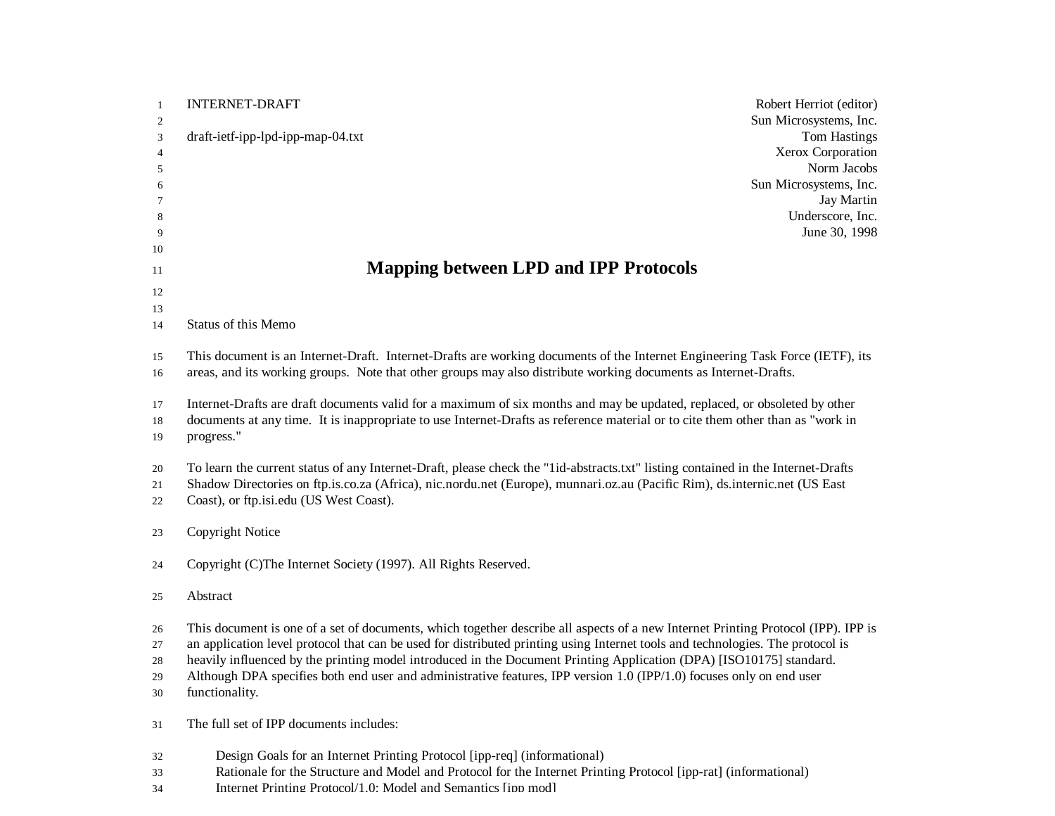| $\mathbf{1}$   | <b>INTERNET-DRAFT</b><br>Robert Herriot (editor)                                                                                  |
|----------------|-----------------------------------------------------------------------------------------------------------------------------------|
| $\overline{c}$ | Sun Microsystems, Inc.                                                                                                            |
| 3              | draft-ietf-ipp-lpd-ipp-map-04.txt<br>Tom Hastings                                                                                 |
| 4              | Xerox Corporation                                                                                                                 |
| 5              | Norm Jacobs                                                                                                                       |
| 6              | Sun Microsystems, Inc.                                                                                                            |
| 7              | Jay Martin                                                                                                                        |
| 8              | Underscore, Inc.                                                                                                                  |
| 9              | June 30, 1998                                                                                                                     |
| 10             |                                                                                                                                   |
| 11             | <b>Mapping between LPD and IPP Protocols</b>                                                                                      |
| 12             |                                                                                                                                   |
| 13             |                                                                                                                                   |
| 14             | Status of this Memo                                                                                                               |
|                |                                                                                                                                   |
| 15             | This document is an Internet-Draft. Internet-Drafts are working documents of the Internet Engineering Task Force (IETF), its      |
| 16             | areas, and its working groups. Note that other groups may also distribute working documents as Internet-Drafts.                   |
| 17             | Internet-Drafts are draft documents valid for a maximum of six months and may be updated, replaced, or obsoleted by other         |
| 18             | documents at any time. It is inappropriate to use Internet-Drafts as reference material or to cite them other than as "work in    |
| 19             | progress."                                                                                                                        |
|                |                                                                                                                                   |
| 20             | To learn the current status of any Internet-Draft, please check the "lid-abstracts.txt" listing contained in the Internet-Drafts  |
| 21             | Shadow Directories on ftp.is.co.za (Africa), nic.nordu.net (Europe), munnari.oz.au (Pacific Rim), ds.internic.net (US East        |
| 22             | Coast), or ftp.isi.edu (US West Coast).                                                                                           |
|                |                                                                                                                                   |
| 23             | Copyright Notice                                                                                                                  |
|                |                                                                                                                                   |
| 24             | Copyright (C)The Internet Society (1997). All Rights Reserved.                                                                    |
| 25             | Abstract                                                                                                                          |
|                |                                                                                                                                   |
| 26             | This document is one of a set of documents, which together describe all aspects of a new Internet Printing Protocol (IPP). IPP is |
| 27             | an application level protocol that can be used for distributed printing using Internet tools and technologies. The protocol is    |
| 28             | heavily influenced by the printing model introduced in the Document Printing Application (DPA) [ISO10175] standard.               |
| 29             | Although DPA specifies both end user and administrative features, IPP version 1.0 (IPP/1.0) focuses only on end user              |
| 30             | functionality.                                                                                                                    |
|                |                                                                                                                                   |
| 31             | The full set of IPP documents includes:                                                                                           |
|                |                                                                                                                                   |
| 32             | Design Goals for an Internet Printing Protocol [ipp-req] (informational)                                                          |
| 33             | Rationale for the Structure and Model and Protocol for the Internet Printing Protocol [ipp-rat] (informational)                   |

34 Internet Printing Protocol/1.0: Model and Semantics [inp mod]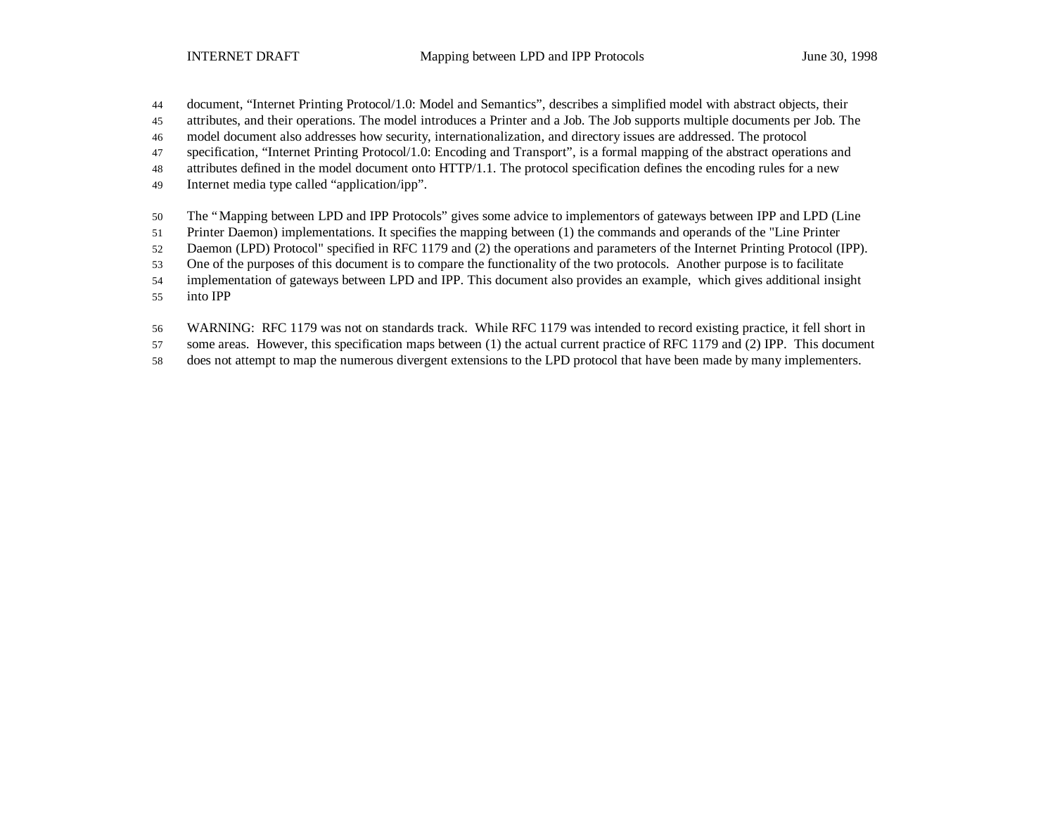document, "Internet Printing Protocol/1.0: Model and Semantics", describes a simplified model with abstract objects, their

attributes, and their operations. The model introduces a Printer and a Job. The Job supports multiple documents per Job. The

model document also addresses how security, internationalization, and directory issues are addressed. The protocol

specification, "Internet Printing Protocol/1.0: Encoding and Transport", is a formal mapping of the abstract operations and

attributes defined in the model document onto HTTP/1.1. The protocol specification defines the encoding rules for a new

Internet media type called "application/ipp".

The "Mapping between LPD and IPP Protocols" gives some advice to implementors of gateways between IPP and LPD (Line

Printer Daemon) implementations. It specifies the mapping between (1) the commands and operands of the "Line Printer

Daemon (LPD) Protocol" specified in RFC 1179 and (2) the operations and parameters of the Internet Printing Protocol (IPP).

One of the purposes of this document is to compare the functionality of the two protocols. Another purpose is to facilitate

implementation of gateways between LPD and IPP. This document also provides an example, which gives additional insight

into IPP

WARNING: RFC 1179 was not on standards track. While RFC 1179 was intended to record existing practice, it fell short in

some areas. However, this specification maps between (1) the actual current practice of RFC 1179 and (2) IPP. This document

does not attempt to map the numerous divergent extensions to the LPD protocol that have been made by many implementers.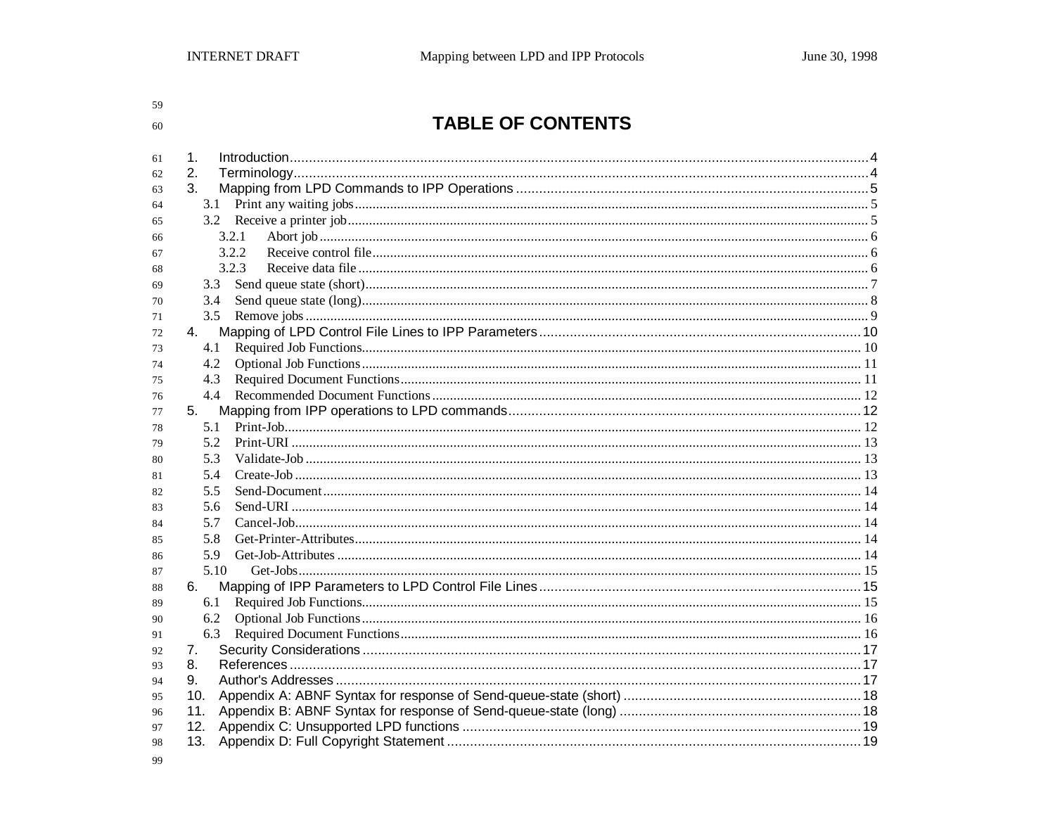59 60

# TABLE OF CONTENTS

| 61 | 1.    |  |
|----|-------|--|
| 62 | 2.    |  |
| 63 | 3.    |  |
| 64 | 3.1   |  |
| 65 |       |  |
| 66 | 3.2.1 |  |
| 67 | 3.2.2 |  |
| 68 | 3.2.3 |  |
| 69 | 3.3   |  |
| 70 | 3.4   |  |
| 71 | 3.5   |  |
| 72 | 4.    |  |
| 73 | 4.1   |  |
| 74 | 4.2   |  |
| 75 | 4.3   |  |
| 76 | 4.4   |  |
| 77 | 5.    |  |
| 78 | 5.1   |  |
| 79 | 5.2   |  |
| 80 | 5.3   |  |
| 81 | 5.4   |  |
| 82 | 5.5   |  |
| 83 | 5.6   |  |
| 84 | 5.7   |  |
| 85 | 5.8   |  |
| 86 | 5.9   |  |
| 87 | 5.10  |  |
| 88 | 6.    |  |
| 89 | 6.1   |  |
| 90 | 6.2   |  |
| 91 | 6.3   |  |
| 92 | 7.    |  |
| 93 | 8.    |  |
| 94 | 9.    |  |
| 95 | 10.   |  |
| 96 | 11.   |  |
| 97 | 12.   |  |
| 98 | 13.   |  |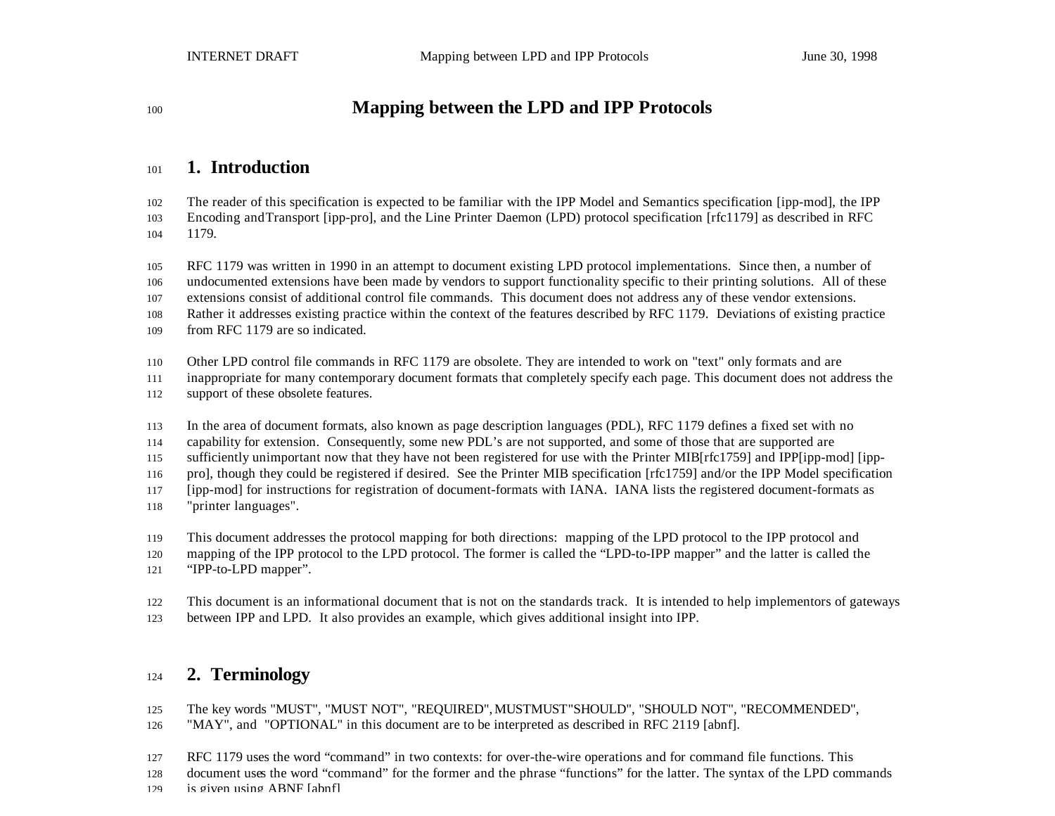## **Mapping between the LPD and IPP Protocols**

## **1. Introduction**

 The reader of this specification is expected to be familiar with the IPP Model and Semantics specification [ipp-mod], the IPP Encoding and Transport [ipp-pro], and the Line Printer Daemon (LPD) protocol specification [rfc1179] as described in RFC 1179.

RFC 1179 was written in 1990 in an attempt to document existing LPD protocol implementations. Since then, a number of

undocumented extensions have been made by vendors to support functionality specific to their printing solutions. All of these

extensions consist of additional control file commands. This document does not address any of these vendor extensions.

Rather it addresses existing practice within the context of the features described by RFC 1179. Deviations of existing practice

from RFC 1179 are so indicated.

Other LPD control file commands in RFC 1179 are obsolete. They are intended to work on "text" only formats and are

inappropriate for many contemporary document formats that completely specify each page. This document does not address the

- support of these obsolete features.
- In the area of document formats, also known as page description languages (PDL), RFC 1179 defines a fixed set with no

capability for extension. Consequently, some new PDL's are not supported, and some of those that are supported are

sufficiently unimportant now that they have not been registered for use with the Printer MIB[rfc1759] and IPP[ipp-mod] [ipp-

pro], though they could be registered if desired. See the Printer MIB specification [rfc1759] and/or the IPP Model specification

[ipp-mod] for instructions for registration of document-formats with IANA. IANA lists the registered document-formats as

"printer languages".

This document addresses the protocol mapping for both directions: mapping of the LPD protocol to the IPP protocol and

mapping of the IPP protocol to the LPD protocol. The former is called the "LPD-to-IPP mapper" and the latter is called the

"IPP-to-LPD mapper".

This document is an informational document that is not on the standards track. It is intended to help implementors of gateways

between IPP and LPD. It also provides an example, which gives additional insight into IPP.

## **2. Terminology**

- The key words "MUST", "MUST NOT", "REQUIRED", MUSTMUST"SHOULD", "SHOULD NOT", "RECOMMENDED",
- "MAY", and "OPTIONAL" in this document are to be interpreted as described in RFC 2119 [abnf].
- RFC 1179 uses the word "command" in two contexts: for over-the-wire operations and for command file functions. This
- document uses the word "command" for the former and the phrase "functions" for the latter. The syntax of the LPD commands
- is given using ABNF [abnf].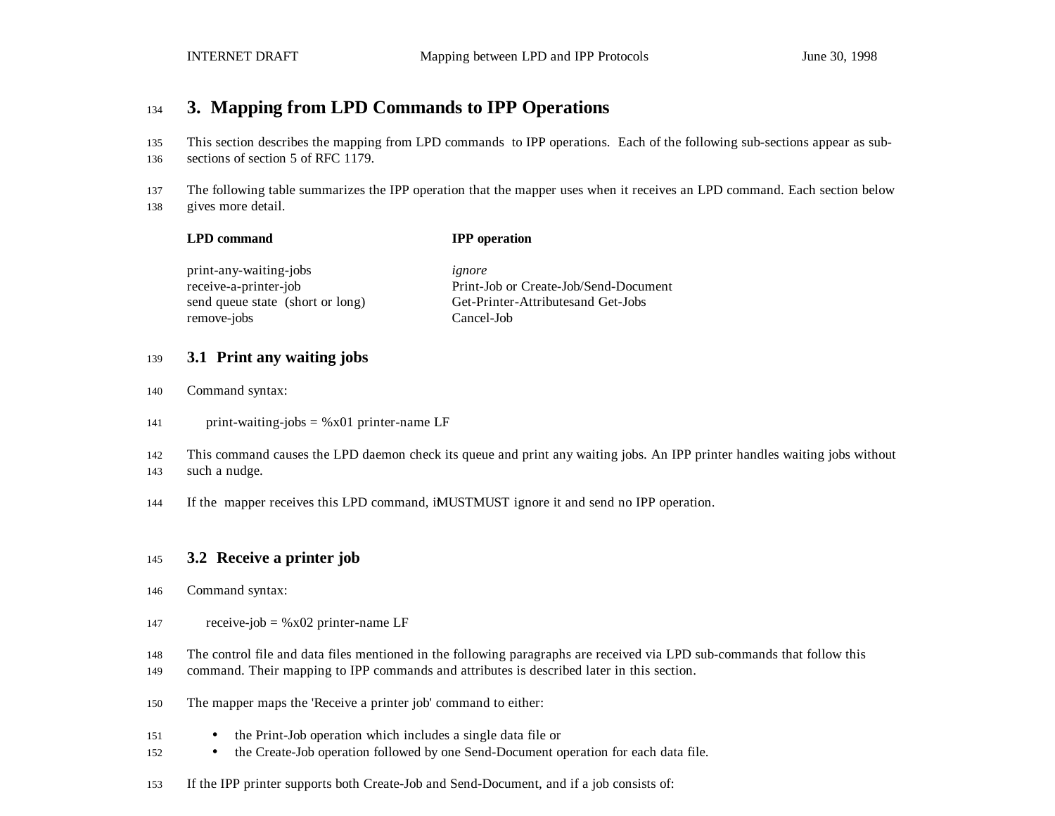### **3. Mapping from LPD Commands to IPP Operations**

This section describes the mapping from LPD commands to IPP operations. Each of the following sub-sections appear as sub-

sections of section 5 of RFC 1179.

The following table summarizes the IPP operation that the mapper uses when it receives an LPD command. Each section below

gives more detail.

|  | <b>LPD command</b> |  |
|--|--------------------|--|
|--|--------------------|--|

**LPD command IPP operation**

print-any-waiting-jobs *ignore* remove-jobs Cancel-Job

receive-a-printer-job Print-Job or Create-Job/Send-Document send queue state (short or long) Get-Printer-Attributesand Get-Jobs

#### **3.1 Print any waiting jobs**

- Command syntax:
- 141 print-waiting-jobs  $=$  %x01 printer-name LF

 This command causes the LPD daemon check its queue and print any waiting jobs. An IPP printer handles waiting jobs without such a nudge.

144 If the mapper receives this LPD command, iMUSTMUST ignore it and send no IPP operation.

#### **3.2 Receive a printer job**

- Command syntax:
- 147 receive-job =  $%x02$  printer-name LF
- The control file and data files mentioned in the following paragraphs are received via LPD sub-commands that follow this
- command. Their mapping to IPP commands and attributes is described later in this section.
- The mapper maps the 'Receive a printer job' command to either:
- the Print-Job operation which includes a single data file or
- the Create-Job operation followed by one Send-Document operation for each data file.
- If the IPP printer supports both Create-Job and Send-Document, and if a job consists of: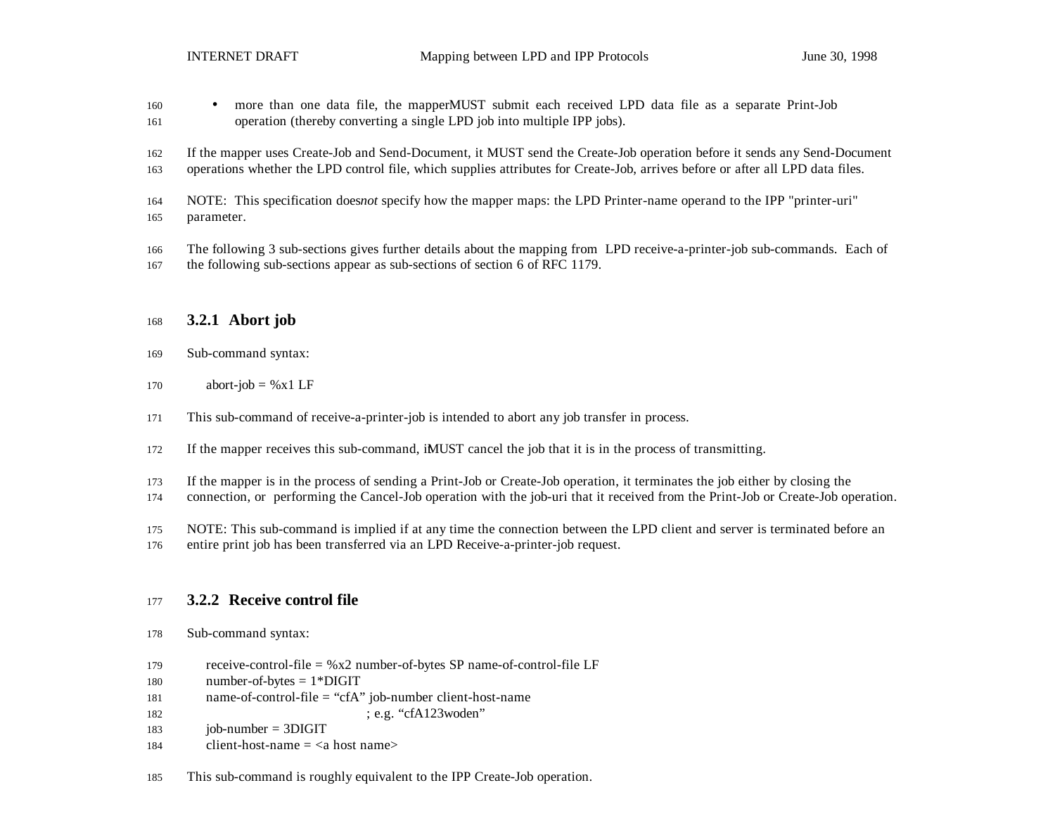- more than one data file, the mapperMUST submit each received LPD data file as a separate Print-Job operation (thereby converting a single LPD job into multiple IPP jobs).
- If the mapper uses Create-Job and Send-Document, it MUST send the Create-Job operation before it sends any Send-Document
- operations whether the LPD control file, which supplies attributes for Create-Job, arrives before or after all LPD data files.
- NOTE: This specification does *not* specify how the mapper maps: the LPD Printer-name operand to the IPP "printer-uri" parameter.
- The following 3 sub-sections gives further details about the mapping from LPD receive-a-printer-job sub-commands. Each of
- the following sub-sections appear as sub-sections of section 6 of RFC 1179.

### **3.2.1 Abort job**

- Sub-command syntax:
- 170 abort-job =  $%x1$  LF
- This sub-command of receive-a-printer-job is intended to abort any job transfer in process.
- If the mapper receives this sub-command, it MUST cancel the job that it is in the process of transmitting.
- If the mapper is in the process of sending a Print-Job or Create-Job operation, it terminates the job either by closing the
- connection, or performing the Cancel-Job operation with the job-uri that it received from the Print-Job or Create-Job operation.
- NOTE: This sub-command is implied if at any time the connection between the LPD client and server is terminated before an
- entire print job has been transferred via an LPD Receive-a-printer-job request.

### **3.2.2 Receive control file**

- Sub-command syntax:
- 179 receive-control-file  $=$  % x2 number-of-bytes SP name-of-control-file LF
- number-of-bytes = 1\*DIGIT
- name-of-control-file = "cfA" job-number client-host-name

; e.g. "cfA123woden"

- job-number = 3DIGIT
- 184 client-host-name  $=$  <a host name>
- This sub-command is roughly equivalent to the IPP Create-Job operation.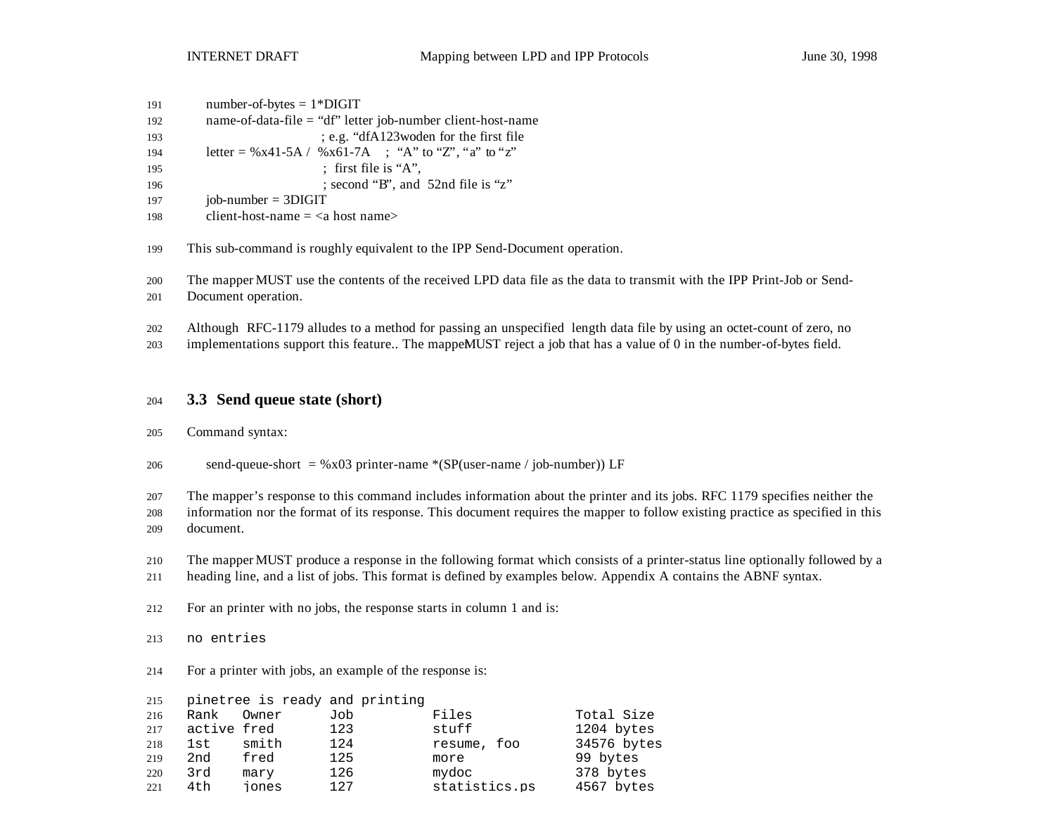| 191 | $number-of-bytes = 1*DiffIT$                                  |
|-----|---------------------------------------------------------------|
| 192 | name-of-data-file $=$ "df" letter job-number client-host-name |
| 193 | ; e.g. "dfA123 woden for the first file"                      |
| 194 | letter = %x41-5A / %x61-7A ; "A" to "Z", "a" to "z"           |
| 195 | : first file is "A".                                          |
| 196 | ; second "B", and 52nd file is "z"                            |
| 197 | $job-number = 3DIGIT$                                         |
| 198 | client-host-name $=$ <a host="" name=""></a>                  |

This sub-command is roughly equivalent to the IPP Send-Document operation.

The mapper MUST use the contents of the received LPD data file as the data to transmit with the IPP Print-Job or Send-

Document operation.

Although RFC-1179 alludes to a method for passing an unspecified length data file by using an octet-count of zero, no

203 implementations support this feature.. The mappeMUST reject a job that has a value of 0 in the number-of-bytes field.

#### **3.3 Send queue state (short)**

#### Command syntax:

206 send-queue-short =  $\%x03$  printer-name  $*(SP(user-name / job-number))$  LF

The mapper's response to this command includes information about the printer and its jobs. RFC 1179 specifies neither the

 information nor the format of its response. This document requires the mapper to follow existing practice as specified in this document.

- The mapper MUST produce a response in the following format which consists of a printer-status line optionally followed by a
- heading line, and a list of jobs. This format is defined by examples below. Appendix A contains the ABNF syntax.
- For an printer with no jobs, the response starts in column 1 and is:

#### no entries

For a printer with jobs, an example of the response is:

| 215  |             |       | pinetree is ready and printing |               |             |
|------|-------------|-------|--------------------------------|---------------|-------------|
| 216  | Rank        | Owner | Job                            | Files         | Total Size  |
| 217  | active fred |       | 123                            | stuff         | 1204 bytes  |
| 218  | 1st         | smith | 124                            | resume, foo   | 34576 bytes |
| 219  | 2nd         | fred  | 125                            | more          | 99 bytes    |
| 220  | 3rd         | mary  | 126                            | mydoc         | 378 bytes   |
| 22.1 | 4th         | iones | 127                            | statistics.ps | 4567 bytes  |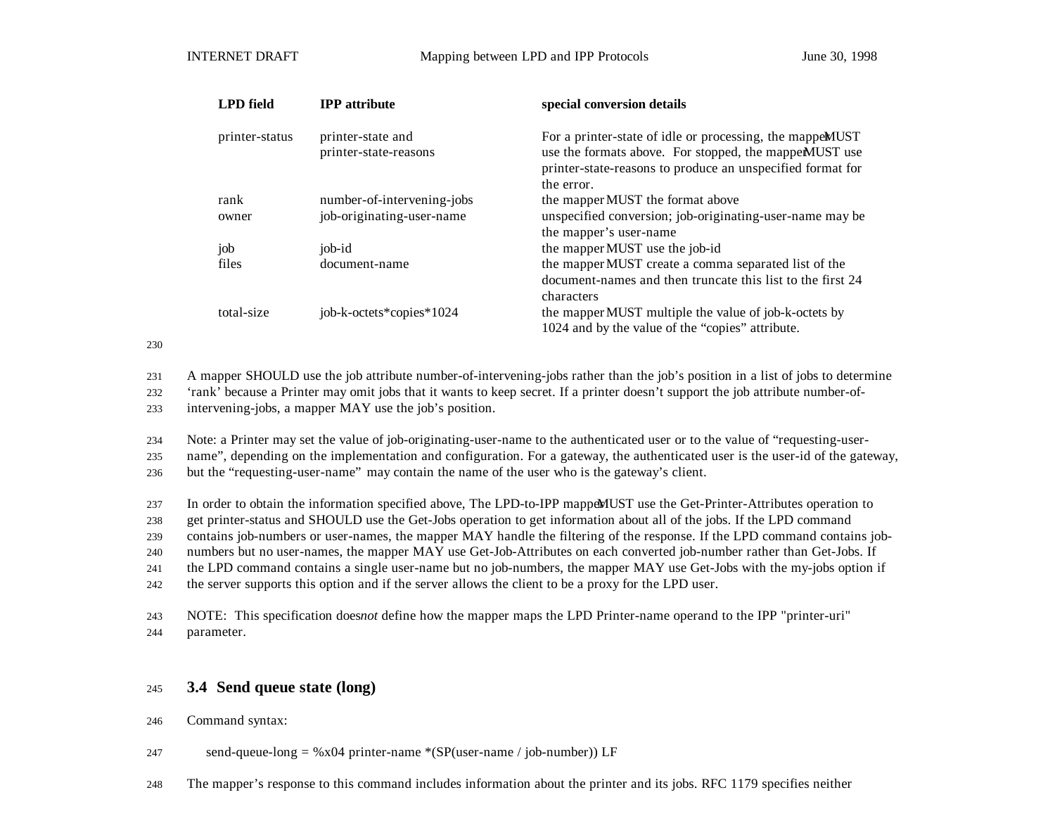| <b>LPD</b> field | <b>IPP</b> attribute                       | special conversion details                                                                                                                                                                      |
|------------------|--------------------------------------------|-------------------------------------------------------------------------------------------------------------------------------------------------------------------------------------------------|
| printer-status   | printer-state and<br>printer-state-reasons | For a printer-state of idle or processing, the mappem UST<br>use the formats above. For stopped, the mappem UST use<br>printer-state-reasons to produce an unspecified format for<br>the error. |
| rank             | number-of-intervening-jobs                 | the mapper MUST the format above                                                                                                                                                                |
| owner            | job-originating-user-name                  | unspecified conversion; job-originating-user-name may be<br>the mapper's user-name                                                                                                              |
| job              | job-id                                     | the mapper MUST use the job-id                                                                                                                                                                  |
| files            | document-name                              | the mapper MUST create a comma separated list of the<br>document-names and then truncate this list to the first 24<br>characters                                                                |
| total-size       | job-k-octets*copies*1024                   | the mapper MUST multiple the value of job-k-octets by<br>1024 and by the value of the "copies" attribute.                                                                                       |

230

231 A mapper SHOULD use the job attribute number-of-intervening-jobs rather than the job's position in a list of jobs to determine

232 'rank' because a Printer may omit jobs that it wants to keep secret. If a printer doesn't support the job attribute number-of-

233 intervening-jobs, a mapper MAY use the job's position.

234 Note: a Printer may set the value of job-originating-user-name to the authenticated user or to the value of "requesting-user-

235 name", depending on the implementation and configuration. For a gateway, the authenticated user is the user-id of the gateway,

236 but the "requesting-user-name" may contain the name of the user who is the gateway's client.

237 In order to obtain the information specified above, The LPD-to-IPP mapper MUST use the Get-Printer-Attributes operation to

238 get printer-status and SHOULD use the Get-Jobs operation to get information about all of the jobs. If the LPD command

239 contains job-numbers or user-names, the mapper MAY handle the filtering of the response. If the LPD command contains job-

240 numbers but no user-names, the mapper MAY use Get-Job-Attributes on each converted job-number rather than Get-Jobs. If

241 the LPD command contains a single user-name but no job-numbers, the mapper MAY use Get-Jobs with the my-jobs option if

242 the server supports this option and if the server allows the client to be a proxy for the LPD user.

243 NOTE: This specification does *not* define how the mapper maps the LPD Printer-name operand to the IPP "printer-uri" 244 parameter.

### <sup>245</sup> **3.4 Send queue state (long)**

246 Command syntax:

247 send-queue-long =  $\%x04$  printer-name  $*(SP(user-name / job-number))$  LF

248 The mapper's response to this command includes information about the printer and its jobs. RFC 1179 specifies neither the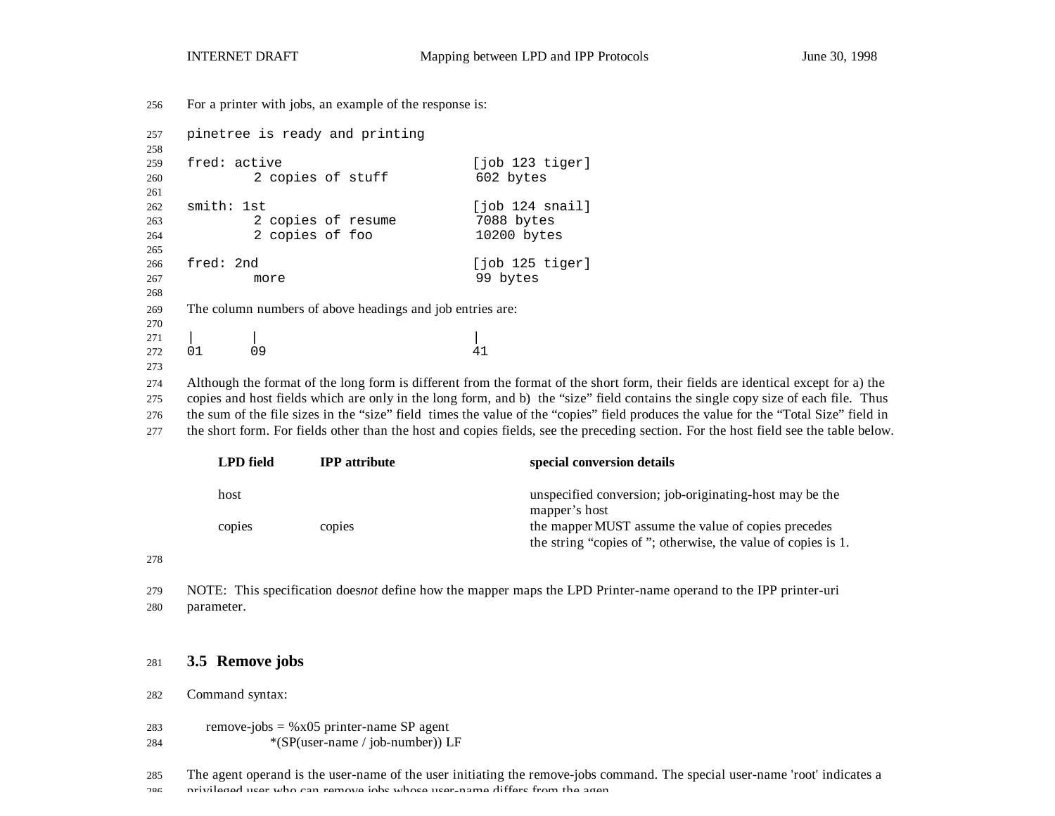For a printer with jobs, an example of the response is:

```
257 pinetree is ready and printing
258
259 fred: active [job 123 tiger]
260 2 copies of stuff 602 bytes
261
262 smith: 1st [job 124 snail]
263 2 copies of resume 7088 bytes<br>264 2 copies of foo 10200 bytes
264 2 copies of foo
265
266 fred: 2nd [job 125 tiger]
267 more 99 bytes
268
269 The column numbers of above headings and job entries are:
270
271 | | |
272 01 09 41
273
274 Although the format of the long form is different from the format of the short form, their fields are identical except for a) the
275 copies and host fields which are only in the long form, and b) the "size" field contains the single copy size of each file. Thus
276 the sum of the file sizes in the "size" field times the value of the "copies" field produces the value for the "Total Size" field in
```
the short form. For fields other than the host and copies fields, see the preceding section. For the host field see the table below.

| <b>LPD</b> field | <b>IPP</b> attribute | special conversion details                                                                                                      |
|------------------|----------------------|---------------------------------------------------------------------------------------------------------------------------------|
| host<br>copies   | copies               | unspecified conversion; job-originating-host may be the<br>mapper's host<br>the mapper MUST assume the value of copies precedes |
|                  |                      | the string "copies of"; otherwise, the value of copies is 1.                                                                    |

 NOTE: This specification does *not* define how the mapper maps the LPD Printer-name operand to the IPP printer-uri parameter.

#### **3.5 Remove jobs**

Command syntax:

- 283 remove-jobs =  $%x05$  printer-name SP agent
- \*(SP(user-name / job-number)) LF
- The agent operand is the user-name of the user initiating the remove-jobs command. The special user-name 'root' indicates a
- 206 privileged user who can remove inhe whose user-name differs from the agent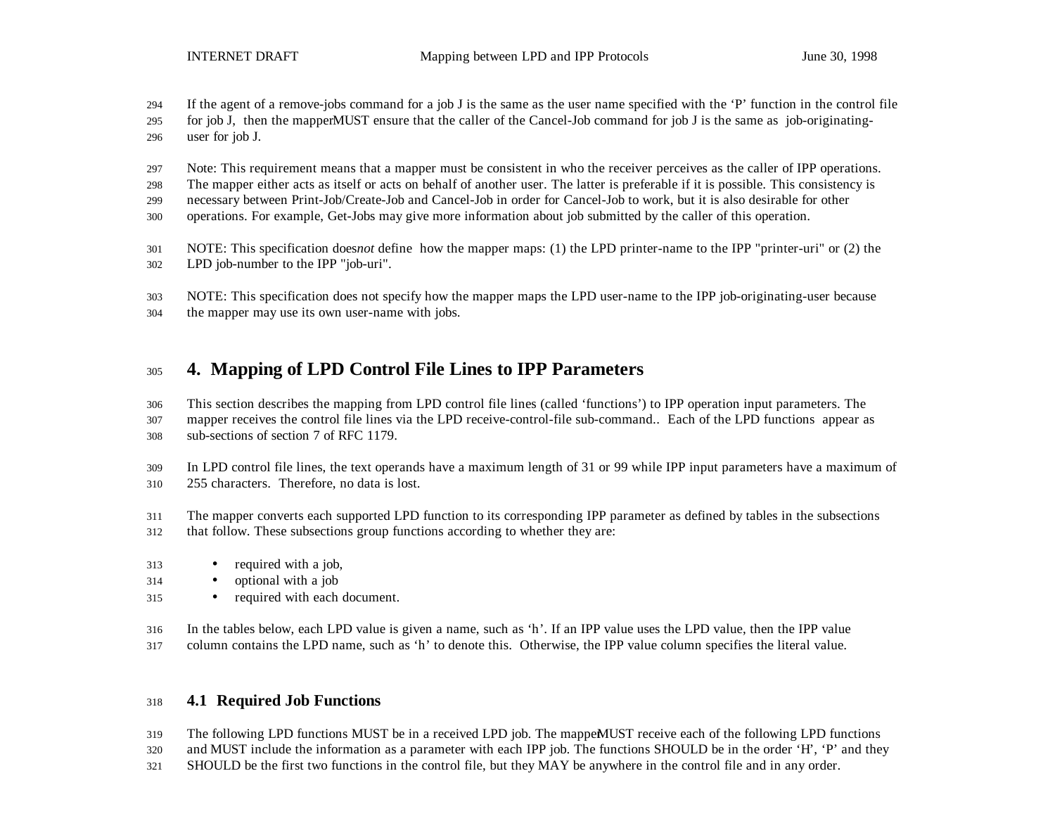- If the agent of a remove-jobs command for a job J is the same as the user name specified with the 'P' function in the control file
- 295 for job J, then the mapper MUST ensure that the caller of the Cancel-Job command for job J is the same as job-originating-user for job J.
- Note: This requirement means that a mapper must be consistent in who the receiver perceives as the caller of IPP operations.
- The mapper either acts as itself or acts on behalf of another user. The latter is preferable if it is possible. This consistency is
- necessary between Print-Job/Create-Job and Cancel-Job in order for Cancel-Job to work, but it is also desirable for other
- operations. For example, Get-Jobs may give more information about job submitted by the caller of this operation.
- NOTE: This specification does *not* define how the mapper maps: (1) the LPD printer-name to the IPP "printer-uri" or (2) the LPD job-number to the IPP "job-uri".
- NOTE: This specification does not specify how the mapper maps the LPD user-name to the IPP job-originating-user because
- the mapper may use its own user-name with jobs.

## **4. Mapping of LPD Control File Lines to IPP Parameters**

This section describes the mapping from LPD control file lines (called 'functions') to IPP operation input parameters. The

 mapper receives the control file lines via the LPD receive-control-file sub-command.. Each of the LPD functions appear as sub-sections of section 7 of RFC 1179.

- In LPD control file lines, the text operands have a maximum length of 31 or 99 while IPP input parameters have a maximum of 255 characters. Therefore, no data is lost.
- The mapper converts each supported LPD function to its corresponding IPP parameter as defined by tables in the subsections that follow. These subsections group functions according to whether they are:
- required with a job,
- optional with a job
- required with each document.
- In the tables below, each LPD value is given a name, such as 'h'. If an IPP value uses the LPD value, then the IPP value column contains the LPD name, such as 'h' to denote this. Otherwise, the IPP value column specifies the literal value.

### **4.1 Required Job Functions**

- 319 The following LPD functions MUST be in a received LPD job. The mappeMUST receive each of the following LPD functions
- and MUST include the information as a parameter with each IPP job. The functions SHOULD be in the order 'H', 'P' and they
- SHOULD be the first two functions in the control file, but they MAY be anywhere in the control file and in any order.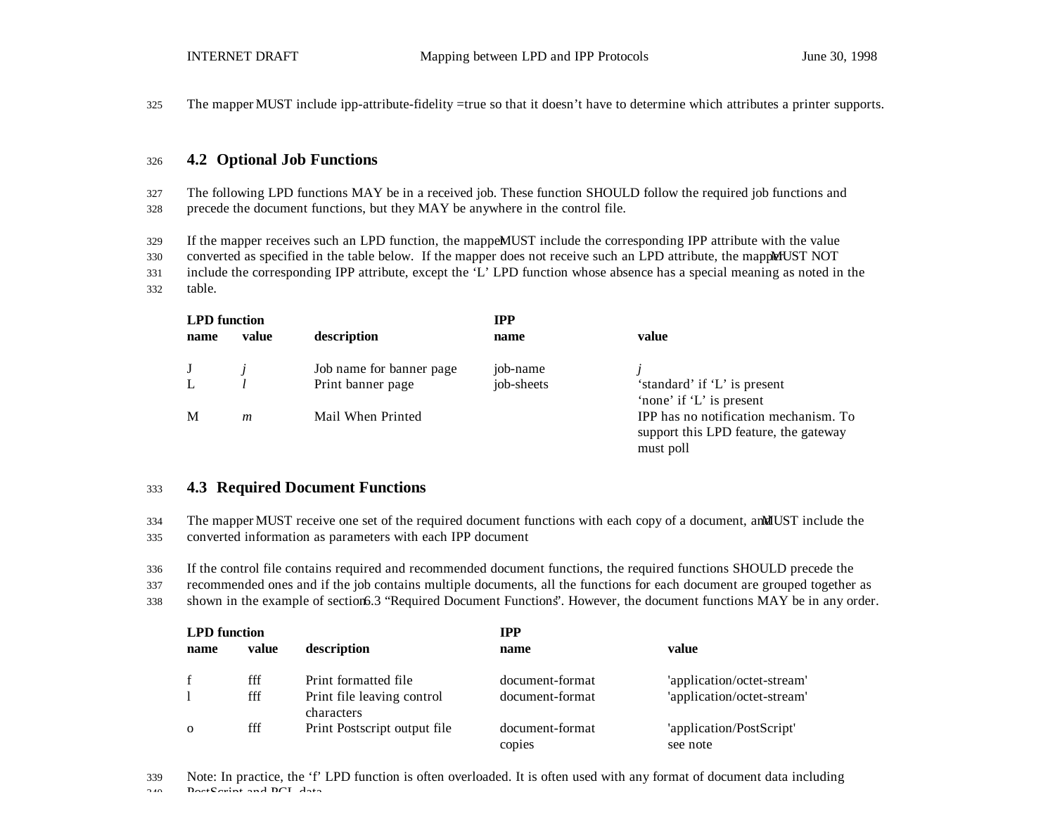325 The mapper MUST include ipp-attribute-fidelity =true so that it doesn't have to determine which attributes a printer supports.

#### <sup>326</sup> **4.2 Optional Job Functions**

327 The following LPD functions MAY be in a received job. These function SHOULD follow the required job functions and 328 precede the document functions, but they MAY be anywhere in the control file.

329 If the mapper receives such an LPD function, the mappeMUST include the corresponding IPP attribute with the value

330 converted as specified in the table below. If the mapper does not receive such an LPD attribute, the mapper MUST NOT

331 include the corresponding IPP attribute, except the 'L' LPD function whose absence has a special meaning as noted in the 332 table.

| <b>LPD</b> function |       |                          | <b>IPP</b> |                                                                                             |
|---------------------|-------|--------------------------|------------|---------------------------------------------------------------------------------------------|
| name                | value | description              | name       | value                                                                                       |
| J                   |       | Job name for banner page | job-name   |                                                                                             |
|                     |       | Print banner page        | job-sheets | 'standard' if 'L' is present<br>'none' if 'L' is present                                    |
| M                   | m     | Mail When Printed        |            | IPP has no notification mechanism. To<br>support this LPD feature, the gateway<br>must poll |

#### <sup>333</sup> **4.3 Required Document Functions**

334 The mapper MUST receive one set of the required document functions with each copy of a document, and MUST include the

335 converted information as parameters with each IPP document

336 If the control file contains required and recommended document functions, the required functions SHOULD precede the

337 recommended ones and if the job contains multiple documents, all the functions for each document are grouped together as

338 shown in the example of section 6.3 "Required Document Functions". However, the document functions MAY be in any order.

| <b>LPD</b> function |       |                                          | <b>IPP</b>                |                                      |  |
|---------------------|-------|------------------------------------------|---------------------------|--------------------------------------|--|
| name                | value | description                              | name                      | value                                |  |
| f                   | fff   | Print formatted file                     | document-format           | 'application/octet-stream'           |  |
|                     | fff   | Print file leaving control<br>characters | document-format           | 'application/octet-stream'           |  |
| $\Omega$            | fff   | Print Postscript output file             | document-format<br>copies | 'application/PostScript'<br>see note |  |

339 Note: In practice, the 'f' LPD function is often overloaded. It is often used with any format of document data including 340 PostScript and PCL data.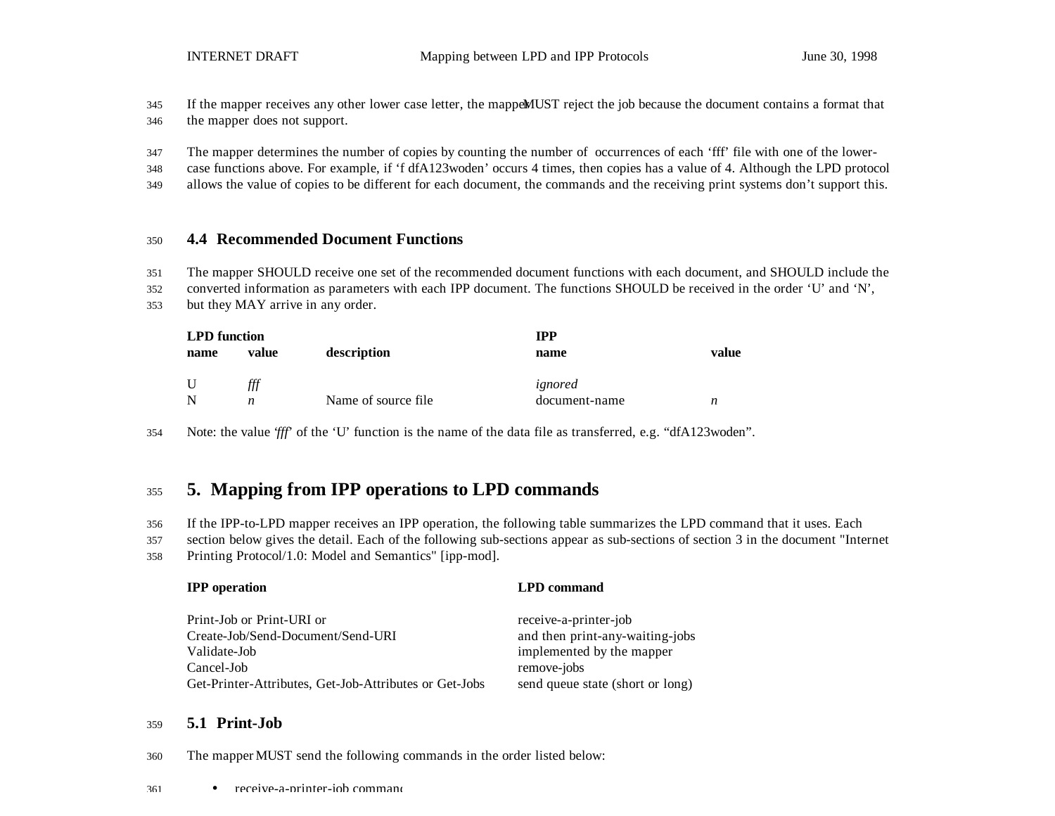345 If the mapper receives any other lower case letter, the mapper MUST reject the job because the document contains a format that 346 the mapper does not support.

347 The mapper determines the number of copies by counting the number of occurrences of each 'fff' file with one of the lower-

348 case functions above. For example, if 'f dfA123woden' occurs 4 times, then copies has a value of 4. Although the LPD protocol

349 allows the value of copies to be different for each document, the commands and the receiving print systems don't support this.

#### <sup>350</sup> **4.4 Recommended Document Functions**

351 The mapper SHOULD receive one set of the recommended document functions with each document, and SHOULD include the

352 converted information as parameters with each IPP document. The functions SHOULD be received in the order 'U' and 'N',

353 but they MAY arrive in any order.

| <b>LPD</b> function |       |                     | <b>IPP</b>    |       |  |
|---------------------|-------|---------------------|---------------|-------|--|
| name                | value | description         | name          | value |  |
| U                   | fff   |                     | ignored       |       |  |
| N                   | n     | Name of source file | document-name | n     |  |

354 Note: the value '*fff*' of the 'U' function is the name of the data file as transferred, e.g. "dfA123woden".

## <sup>355</sup> **5. Mapping from IPP operations to LPD commands**

356 If the IPP-to-LPD mapper receives an IPP operation, the following table summarizes the LPD command that it uses. Each

357 section below gives the detail. Each of the following sub-sections appear as sub-sections of section 3 in the document "Internet

358 Printing Protocol/1.0: Model and Semantics" [ipp-mod].

| <b>IPP</b> operation                                                                                                                                   | <b>LPD</b> command                                                                                                                       |
|--------------------------------------------------------------------------------------------------------------------------------------------------------|------------------------------------------------------------------------------------------------------------------------------------------|
| Print-Job or Print-URI or<br>Create-Job/Send-Document/Send-URI<br>Validate-Job<br>Cancel-Job<br>Get-Printer-Attributes, Get-Job-Attributes or Get-Jobs | receive-a-printer-job<br>and then print-any-waiting-jobs<br>implemented by the mapper<br>remove-jobs<br>send queue state (short or long) |
|                                                                                                                                                        |                                                                                                                                          |

### <sup>359</sup> **5.1 Print-Job**

360 The mapper MUST send the following commands in the order listed below: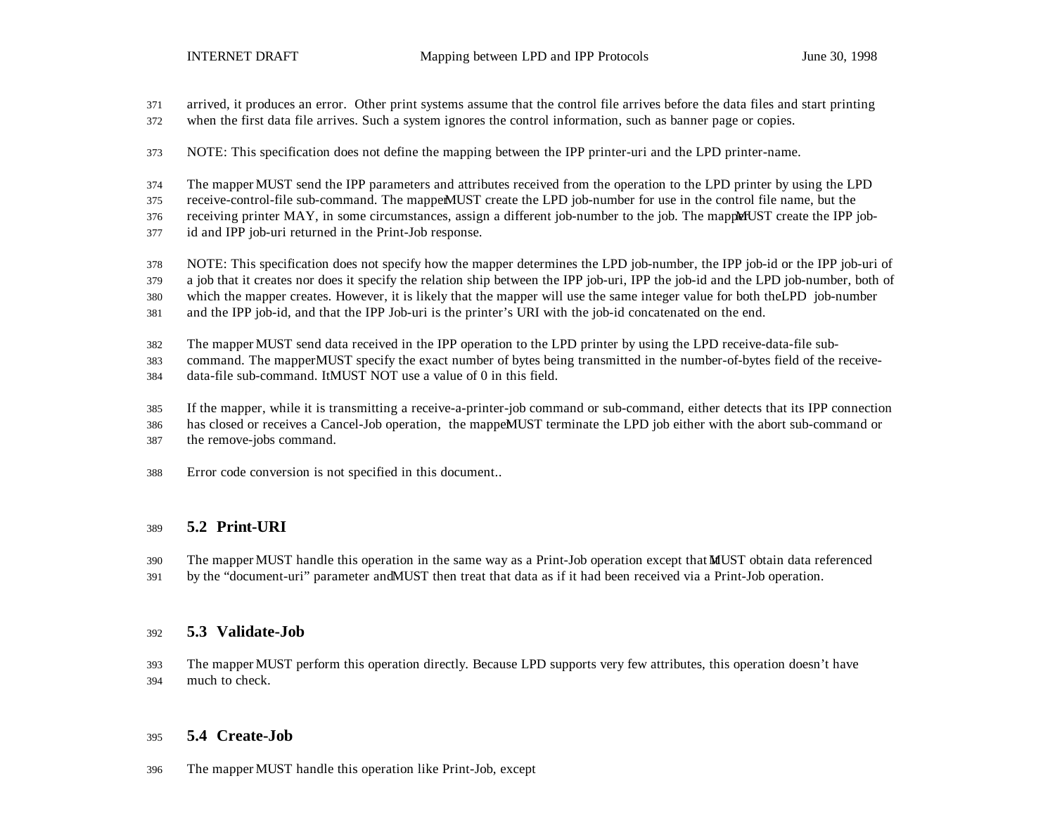- arrived, it produces an error. Other print systems assume that the control file arrives before the data files and start printing
- when the first data file arrives. Such a system ignores the control information, such as banner page or copies.
- NOTE: This specification does not define the mapping between the IPP printer-uri and the LPD printer-name.
- The mapper MUST send the IPP parameters and attributes received from the operation to the LPD printer by using the LPD
- 375 receive-control-file sub-command. The mapper MUST create the LPD job-number for use in the control file name, but the
- 376 receiving printer MAY, in some circumstances, assign a different job-number to the job. The mapple FUST create the IPP job-
- id and IPP job-uri returned in the Print-Job response.
- NOTE: This specification does not specify how the mapper determines the LPD job-number, the IPP job-id or the IPP job-uri of
- a job that it creates nor does it specify the relation ship between the IPP job-uri, IPP the job-id and the LPD job-number, both of
- which the mapper creates. However, it is likely that the mapper will use the same integer value for both theLPD job-number
- and the IPP job-id, and that the IPP Job-uri is the printer's URI with the job-id concatenated on the end.
- The mapper MUST send data received in the IPP operation to the LPD printer by using the LPD receive-data-file sub-
- command. The mapper MUST specify the exact number of bytes being transmitted in the number-of-bytes field of the receive-
- 384 data-file sub-command. It MUST NOT use a value of 0 in this field.
- If the mapper, while it is transmitting a receive-a-printer-job command or sub-command, either detects that its IPP connection
- 386 has closed or receives a Cancel-Job operation, the mappeMUST terminate the LPD job either with the abort sub-command or
- the remove-jobs command.
- Error code conversion is not specified in this document..

### **5.2 Print-URI**

- 390 The mapper MUST handle this operation in the same way as a Print-Job operation except that MUST obtain data referenced
- by the "document-uri" parameter and MUST then treat that data as if it had been received via a Print-Job operation.

### **5.3 Validate-Job**

 The mapper MUST perform this operation directly. Because LPD supports very few attributes, this operation doesn't have much to check.

### **5.4 Create-Job**

The mapper MUST handle this operation like Print-Job, except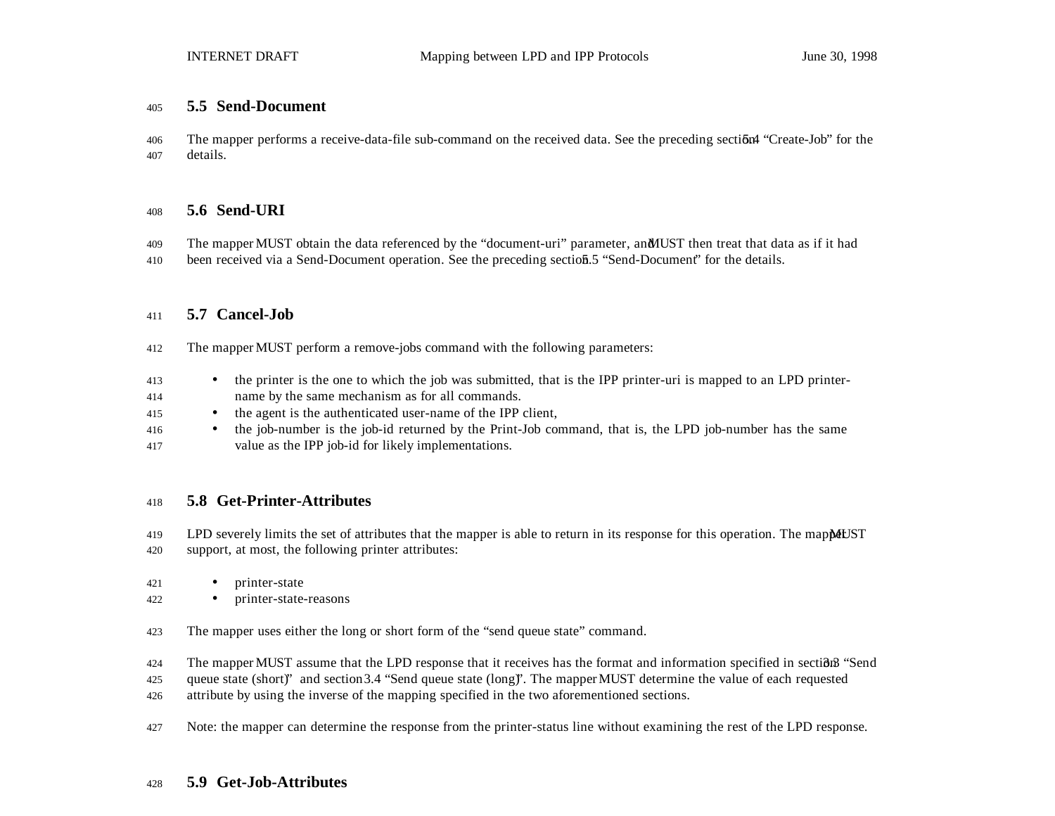#### **5.5 Send-Document**

406 The mapper performs a receive-data-file sub-command on the received data. See the preceding section 4 "Create-Job" for the details.

#### **5.6 Send-URI**

- 409 The mapper MUST obtain the data referenced by the "document-uri" parameter, an MUST then treat that data as if it had
- 410 been received via a Send-Document operation. See the preceding section 5.5 "Send-Document" for the details.

#### **5.7 Cancel-Job**

- The mapper MUST perform a remove-jobs command with the following parameters:
- <sup>413</sup> the printer is the one to which the job was submitted, that is the IPP printer-uri is mapped to an LPD printer-
- name by the same mechanism as for all commands.
- the agent is the authenticated user-name of the IPP client,
- the job-number is the job-id returned by the Print-Job command, that is, the LPD job-number has the same value as the IPP job-id for likely implementations.

#### **5.8 Get-Printer-Attributes**

- 419 LPD severely limits the set of attributes that the mapper is able to return in its response for this operation. The mappert IST support, at most, the following printer attributes:
- printer-state
- printer-state-reasons
- The mapper uses either the long or short form of the "send queue state" command.
- 424 The mapper MUST assume that the LPD response that it receives has the format and information specified in section 3 "Send
- queue state (short)" and section 3.4 "Send queue state (long)". The mapper MUST determine the value of each requested
- attribute by using the inverse of the mapping specified in the two aforementioned sections.
- 427 Note: the mapper can determine the response from the printer-status line without examining the rest of the LPD response.

#### **5.9 Get-Job-Attributes**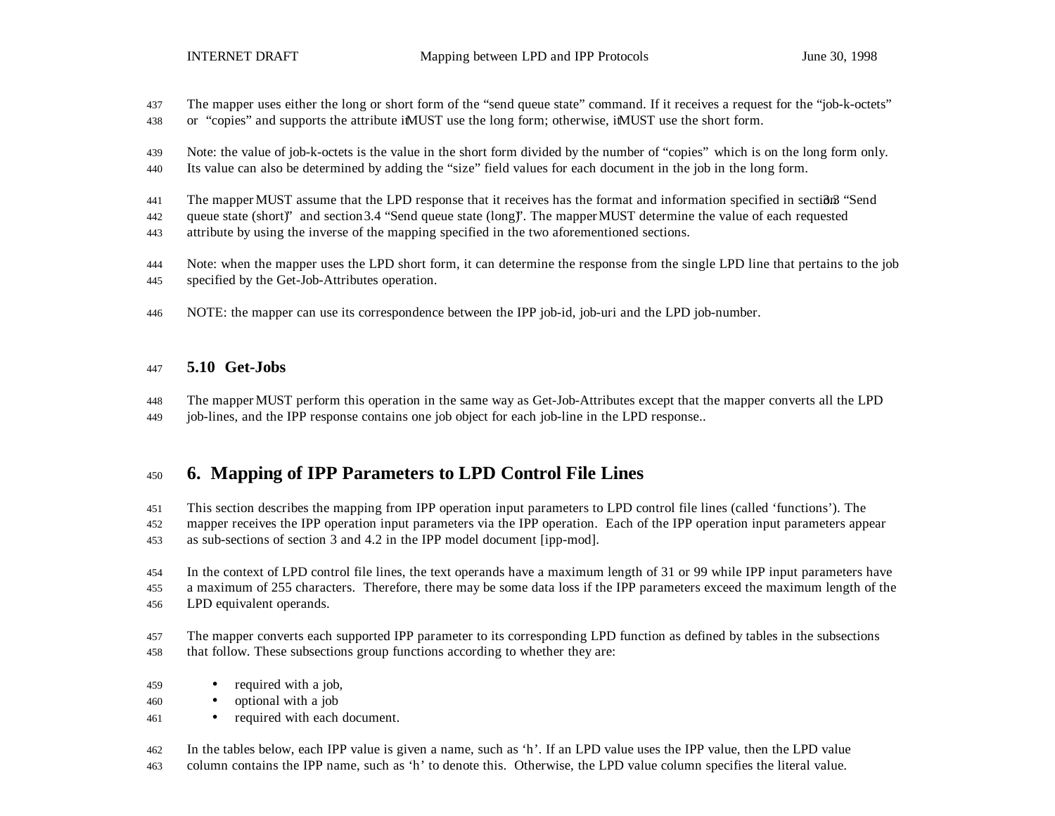- The mapper uses either the long or short form of the "send queue state" command. If it receives a request for the "job-k-octets"
- 438 or "copies" and supports the attribute it MUST use the long form; otherwise, it MUST use the short form.
- Note: the value of job-k-octets is the value in the short form divided by the number of "copies" which is on the long form only.
- Its value can also be determined by adding the "size" field values for each document in the job in the long form.
- 441 The mapper MUST assume that the LPD response that it receives has the format and information specified in section 3. "Send
- queue state (short)" and section 3.4 "Send queue state (long)". The mapper MUST determine the value of each requested
- attribute by using the inverse of the mapping specified in the two aforementioned sections.
- Note: when the mapper uses the LPD short form, it can determine the response from the single LPD line that pertains to the job specified by the Get-Job-Attributes operation.
- NOTE: the mapper can use its correspondence between the IPP job-id, job-uri and the LPD job-number.

### **5.10 Get-Jobs**

- The mapper MUST perform this operation in the same way as Get-Job-Attributes except that the mapper converts all the LPD
- job-lines, and the IPP response contains one job object for each job-line in the LPD response..

## **6. Mapping of IPP Parameters to LPD Control File Lines**

This section describes the mapping from IPP operation input parameters to LPD control file lines (called 'functions'). The

- mapper receives the IPP operation input parameters via the IPP operation. Each of the IPP operation input parameters appear as sub-sections of section 3 and 4.2 in the IPP model document [ipp-mod].
- In the context of LPD control file lines, the text operands have a maximum length of 31 or 99 while IPP input parameters have a maximum of 255 characters. Therefore, there may be some data loss if the IPP parameters exceed the maximum length of the
- LPD equivalent operands.
- The mapper converts each supported IPP parameter to its corresponding LPD function as defined by tables in the subsections that follow. These subsections group functions according to whether they are:
- required with a job,
- optional with a job
- required with each document.
- In the tables below, each IPP value is given a name, such as 'h'. If an LPD value uses the IPP value, then the LPD value
- column contains the IPP name, such as 'h' to denote this. Otherwise, the LPD value column specifies the literal value.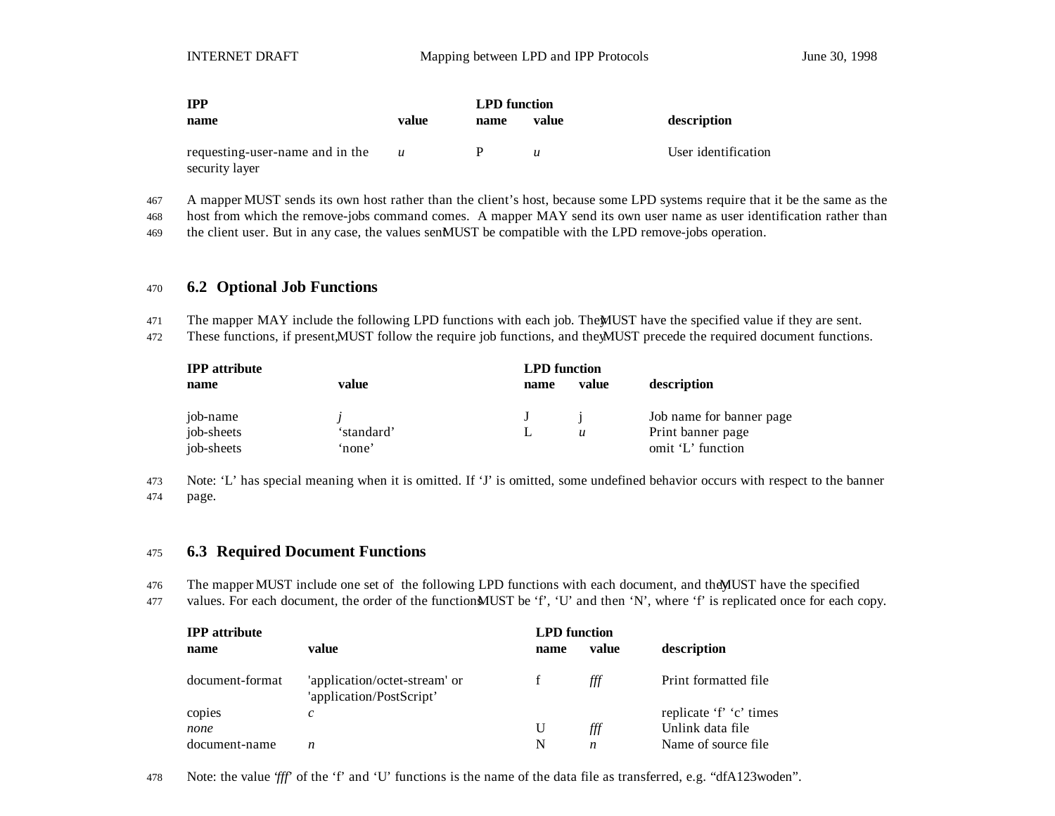| <b>IPP</b>                                        |                  |      | <b>LPD</b> function |                     |  |
|---------------------------------------------------|------------------|------|---------------------|---------------------|--|
| name                                              | value            | name | value               | description         |  |
| requesting-user-name and in the<br>security layer | $\boldsymbol{u}$ |      | $\boldsymbol{u}$    | User identification |  |

467 A mapper MUST sends its own host rather than the client's host, because some LPD systems require that it be the same as the

468 host from which the remove-jobs command comes. A mapper MAY send its own user name as user identification rather than

469 the client user. But in any case, the values senMUST be compatible with the LPD remove-jobs operation.

#### <sup>470</sup> **6.2 Optional Job Functions**

471 The mapper MAY include the following LPD functions with each job. The MUST have the specified value if they are sent.

472 These functions, if present, MUST follow the require job functions, and the MUST precede the required document functions.

| <b>IPP</b> attribute |            | <b>LPD</b> function |                  |                          |
|----------------------|------------|---------------------|------------------|--------------------------|
| name                 | value      | name                | value            | description              |
| job-name             |            |                     |                  | Job name for banner page |
| job-sheets           | 'standard' |                     | $\boldsymbol{u}$ | Print banner page        |
| job-sheets           | 'none'     |                     |                  | omit 'L' function        |

473 Note: 'L' has special meaning when it is omitted. If 'J' is omitted, some undefined behavior occurs with respect to the banner 474 page.

#### <sup>475</sup> **6.3 Required Document Functions**

- 476 The mapper MUST include one set of the following LPD functions with each document, and the MUST have the specified
- 477 values. For each document, the order of the function MUST be 'f', 'U' and then 'N', where 'f' is replicated once for each copy.

| <b>IPP</b> attribute |                                                           | <b>LPD</b> function |       |                         |
|----------------------|-----------------------------------------------------------|---------------------|-------|-------------------------|
| name                 | value                                                     | name                | value | description             |
| document-format      | 'application/octet-stream' or<br>'application/PostScript' |                     | ∰     | Print formatted file    |
| copies               | $\mathcal{C}$                                             |                     |       | replicate 'f' 'c' times |
| none                 |                                                           | U                   | ∰     | Unlink data file        |
| document-name        | n                                                         | N                   | n     | Name of source file     |

478 Note: the value '*fff*' of the 'f' and 'U' functions is the name of the data file as transferred, e.g. "dfA123woden".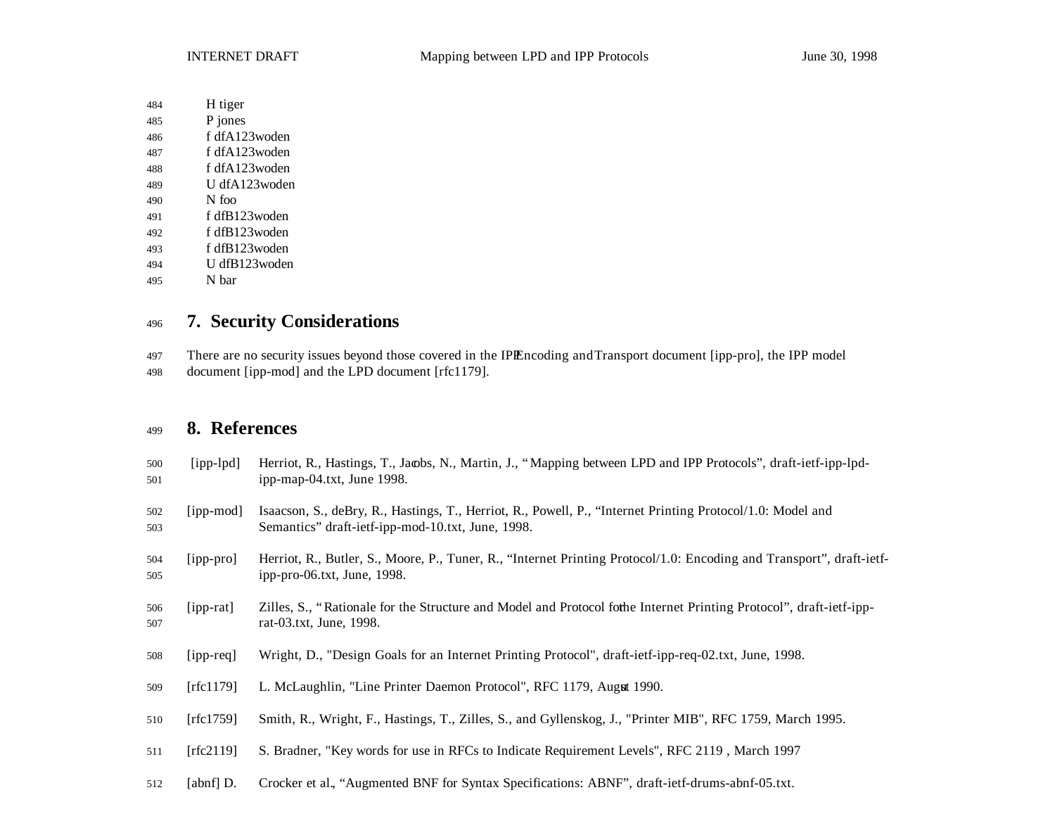- H tiger
- P jones
- f dfA123woden
- f dfA123woden
- f dfA123woden
- U dfA123woden
- N foo
- f dfB123woden
- f dfB123woden
- f dfB123woden
- U dfB123woden
- N bar

## **7. Security Considerations**

- 497 There are no security issues beyond those covered in the IPIEncoding and Transport document [ipp-pro], the IPP model
- document [ipp-mod] and the LPD document [rfc1179].

## **8. References**

| 500<br>501 | $[ipp-lpd]$ | Herriot, R., Hastings, T., Jacobs, N., Martin, J., "Mapping between LPD and IPP Protocols", draft-ietf-ipp-lpd-<br>ipp-map-04.txt, June 1998.                   |
|------------|-------------|-----------------------------------------------------------------------------------------------------------------------------------------------------------------|
| 502<br>503 | [ipp-mod]   | Isaacson, S., deBry, R., Hastings, T., Herriot, R., Powell, P., "Internet Printing Protocol/1.0: Model and<br>Semantics" draft-ietf-ipp-mod-10.txt, June, 1998. |
| 504<br>505 | [ipp-pro]   | Herriot, R., Butler, S., Moore, P., Tuner, R., "Internet Printing Protocol/1.0: Encoding and Transport", draft-ietf-<br>ipp-pro-06.txt, June, 1998.             |
| 506<br>507 | $[ipp-rat]$ | Zilles, S., "Rationale for the Structure and Model and Protocol for the Internet Printing Protocol", draft-ietf-ipp-<br>rat-03.txt, June, 1998.                 |
| 508        | $[ipp-req]$ | Wright, D., "Design Goals for an Internet Printing Protocol", draft-ietf-ipp-req-02.txt, June, 1998.                                                            |
| 509        | [rfc1179]   | L. McLaughlin, "Line Printer Daemon Protocol", RFC 1179, Augut 1990.                                                                                            |
| 510        | [rfc1759]   | Smith, R., Wright, F., Hastings, T., Zilles, S., and Gyllenskog, J., "Printer MIB", RFC 1759, March 1995.                                                       |
| 511        | [rfc2119]   | S. Bradner, "Key words for use in RFCs to Indicate Requirement Levels", RFC 2119, March 1997                                                                    |
| 512        | [abnf] D.   | Crocker et al., "Augmented BNF for Syntax Specifications: ABNF", draft-ietf-drums-abnf-05.txt.                                                                  |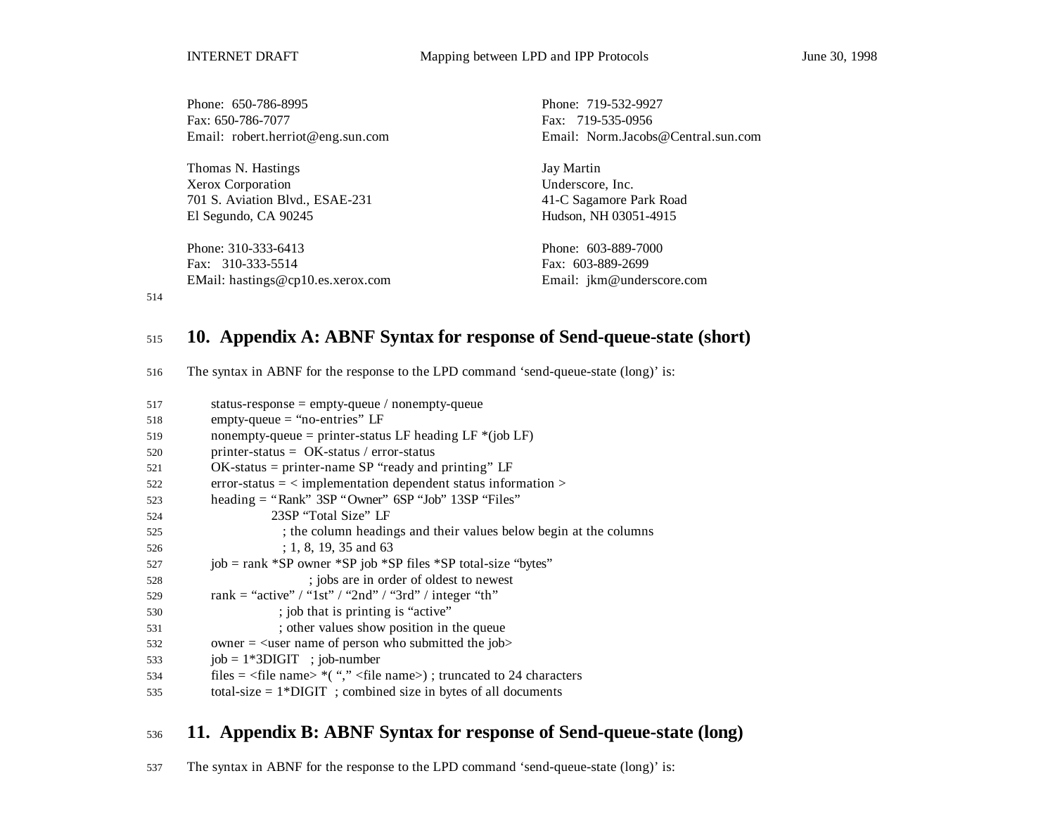Phone: 650-786-8995 Phone: 719-532-9927 Fax: 650-786-7077 Fax: 719-535-0956 Email: robert.herriot@eng.sun.com Email: Norm.Jacobs@Central.sun.com Thomas N. Hastings Jay Martin Xerox Corporation Underscore, Inc. 701 S. Aviation Blvd., ESAE-231 41-C Sagamore Park Road El Segundo, CA 90245 Hudson, NH 03051-4915 Phone: 310-333-6413 Phone: 603-889-7000 Fax: 310-333-5514 Fax: 603-889-2699 EMail: hastings@cp10.es.xerox.com Email: jkm@underscore.com

514

### <sup>515</sup> **10. Appendix A: ABNF Syntax for response of Send-queue-state (short)**

516 The syntax in ABNF for the response to the LPD command 'send-queue-state (long)' is:

| 517 | status-response = $empty$ -queue / nonempty-queue                                       |
|-----|-----------------------------------------------------------------------------------------|
| 518 | empty-queue $=$ "no-entries" LF                                                         |
| 519 | nonempty-queue = printer-status LF heading LF $*(job LF)$                               |
| 520 | printer-status = $OK$ -status / error-status                                            |
| 521 | $OK$ -status = printer-name SP "ready and printing" LF                                  |
| 522 | $error-status = \langle implementation\text{ dependent status information}\rangle$      |
| 523 | heading $=$ "Rank" 3SP "Owner" 6SP "Job" 13SP "Files"                                   |
| 524 | 23SP "Total Size" LF                                                                    |
| 525 | ; the column headings and their values below begin at the columns                       |
| 526 | $: 1, 8, 19, 35$ and 63                                                                 |
| 527 | job = rank *SP owner *SP job *SP files *SP total-size "bytes"                           |
| 528 | ; jobs are in order of oldest to newest                                                 |
| 529 | rank = "active" / "1st" / "2nd" / "3rd" / integer "th"                                  |
| 530 | ; job that is printing is "active"                                                      |
| 531 | ; other values show position in the queue                                               |
| 532 | owner $=$ <user job="" name="" of="" person="" submitted="" the="" who=""></user>       |
| 533 | $job = 1*3DIGIT$ ; $job-number$                                                         |
| 534 | files = $\langle$ file name> $*($ "," $\langle$ file name>); truncated to 24 characters |
| 535 | total-size $= 1*$ DIGIT ; combined size in bytes of all documents                       |
|     |                                                                                         |

## <sup>536</sup> **11. Appendix B: ABNF Syntax for response of Send-queue-state (long)**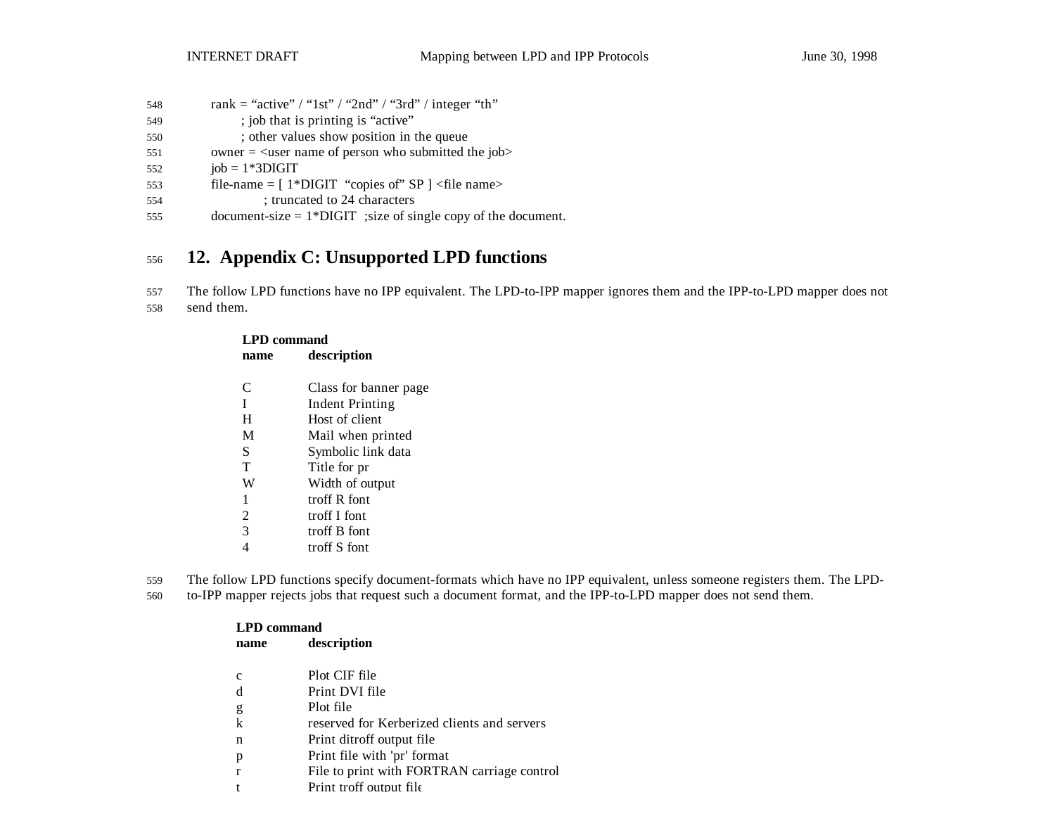| 548 | rank = "active" / "1st" / "2nd" / "3rd" / integer "th"          |
|-----|-----------------------------------------------------------------|
| 549 | ; job that is printing is "active"                              |
| 550 | ; other values show position in the queue                       |
| 551 | owner $=$ $\leq$ user name of person who submitted the job>     |
| 552 | $job = 1*3DIGIT$                                                |
| 553 | file-name = $[1*Diff]$ "copies of" SP $]$ <file name=""></file> |
|     |                                                                 |

- 554 ; truncated to 24 characters
- 555 document-size = 1\*DIGIT ;size of single copy of the document.

## <sup>556</sup> **12. Appendix C: Unsupported LPD functions**

557 The follow LPD functions have no IPP equivalent. The LPD-to-IPP mapper ignores them and the IPP-to-LPD mapper does not 558 send them.

| <b>LPD</b> command |                       |  |
|--------------------|-----------------------|--|
| name               | description           |  |
|                    |                       |  |
| C                  | Class for banner page |  |
| I                  | Indent Printing       |  |
| H                  | Host of client        |  |
| M                  | Mail when printed     |  |
| S                  | Symbolic link data    |  |
| T                  | Title for pr          |  |
| W                  | Width of output       |  |
| 1                  | troff R font          |  |
| 2                  | troff I font          |  |
| 3                  | troff B font          |  |
|                    | troff S font          |  |

559 The follow LPD functions specify document-formats which have no IPP equivalent, unless someone registers them. The LPD-

560 to-IPP mapper rejects jobs that request such a document format, and the IPP-to-LPD mapper does not send them.

| <b>LPD</b> command |                                             |  |
|--------------------|---------------------------------------------|--|
| name               | description                                 |  |
| c                  | Plot CIF file                               |  |
| d                  | Print DVI file                              |  |
| g                  | Plot file                                   |  |
| $\mathbf k$        | reserved for Kerberized clients and servers |  |
| n                  | Print ditroff output file                   |  |
| p                  | Print file with 'pr' format                 |  |
|                    | File to print with FORTRAN carriage control |  |
|                    | Print troff output file                     |  |